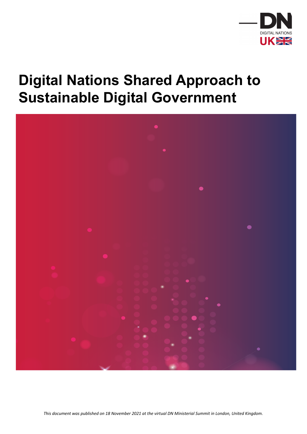

## **Digital Nations Shared Approach to Sustainable Digital Government**



*This document was published on 18 November 2021 at the virtual DN Ministerial Summit in London, United Kingdom.*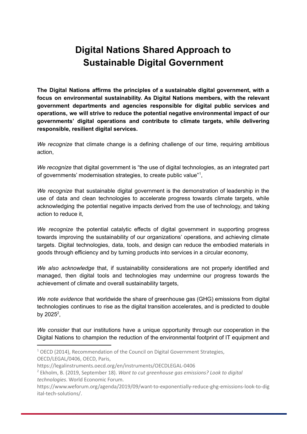## **Digital Nations Shared Approach to Sustainable Digital Government**

**The Digital Nations affirms the principles of a sustainable digital government, with a focus on environmental sustainability. As Digital Nations members, with the relevant government departments and agencies responsible for digital public services and operations, we will strive to reduce the potential negative environmental impact of our governments' digital operations and contribute to climate targets, while delivering responsible, resilient digital services.**

*We recognize* that climate change is a defining challenge of our time, requiring ambitious action,

*We recognize* that digital government is "the use of digital technologies, as an integrated part of governments' modernisation strategies, to create public value"<sup>1</sup>,

*We recognize* that sustainable digital government is the demonstration of leadership in the use of data and clean technologies to accelerate progress towards climate targets, while acknowledging the potential negative impacts derived from the use of technology, and taking action to reduce it,

*We recognize* the potential catalytic effects of digital government in supporting progress towards improving the sustainability of our organizations' operations, and achieving climate targets. Digital technologies, data, tools, and design can reduce the embodied materials in goods through efficiency and by turning products into services in a circular economy,

*We also acknowledge* that, if sustainability considerations are not properly identified and managed, then digital tools and technologies may undermine our progress towards the achievement of climate and overall sustainability targets,

*We note evidence* that worldwide the share of greenhouse gas (GHG) emissions from digital technologies continues to rise as the digital transition accelerates, and is predicted to double by 2025 $^2$ ,

*We consider* that our institutions have a unique opportunity through our cooperation in the Digital Nations to champion the reduction of the environmental footprint of IT equipment and

<sup>&</sup>lt;sup>1</sup> OECD (2014), Recommendation of the Council on Digital Government Strategies, OECD/LEGAL/0406, OECD, Paris,

<https://legalinstruments.oecd.org/en/instruments/OECDLEGAL-0406>

<sup>2</sup> Ekholm, B. (2019, September 18). *Want to cut greenhouse gas emissions? Look to digital technologies*. World Economic Forum.

https://www.weforum.org/agenda/2019/09/want-to-exponentially-reduce-ghg-emissions-look-to-dig ital-tech-solutions/.